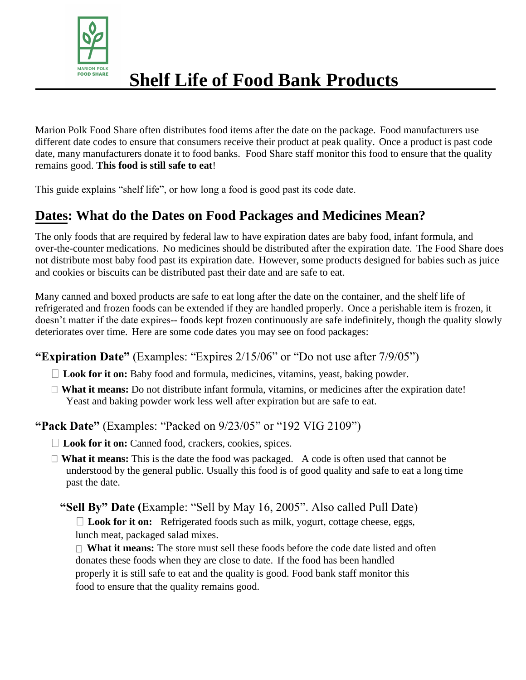

# **Shelf Life of Food Bank Products**

Marion Polk Food Share often distributes food items after the date on the package. Food manufacturers use different date codes to ensure that consumers receive their product at peak quality. Once a product is past code date, many manufacturers donate it to food banks. Food Share staff monitor this food to ensure that the quality remains good. **This food is still safe to eat**!

This guide explains "shelf life", or how long a food is good past its code date.

## **Dates: What do the Dates on Food Packages and Medicines Mean?**

The only foods that are required by federal law to have expiration dates are baby food, infant formula, and over-the-counter medications. No medicines should be distributed after the expiration date. The Food Share does not distribute most baby food past its expiration date. However, some products designed for babies such as juice and cookies or biscuits can be distributed past their date and are safe to eat.

Many canned and boxed products are safe to eat long after the date on the container, and the shelf life of refrigerated and frozen foods can be extended if they are handled properly. Once a perishable item is frozen, it doesn't matter if the date expires-- foods kept frozen continuously are safe indefinitely, though the quality slowly deteriorates over time. Here are some code dates you may see on food packages:

**"Expiration Date"** (Examples: "Expires 2/15/06" or "Do not use after 7/9/05")

- **Look for it on:** Baby food and formula, medicines, vitamins, yeast, baking powder.
- **What it means:** Do not distribute infant formula, vitamins, or medicines after the expiration date! Yeast and baking powder work less well after expiration but are safe to eat.

**"Pack Date"** (Examples: "Packed on 9/23/05" or "192 VIG 2109")

- □ **Look for it on:** Canned food, crackers, cookies, spices.
- □ **What it means:** This is the date the food was packaged. A code is often used that cannot be understood by the general public. Usually this food is of good quality and safe to eat a long time past the date.
	- **"Sell By" Date (**Example: "Sell by May 16, 2005". Also called Pull Date) **Look for it on:** Refrigerated foods such as milk, yogurt, cottage cheese, eggs, lunch meat, packaged salad mixes.

**What it means:** The store must sell these foods before the code date listed and often donates these foods when they are close to date. If the food has been handled properly it is still safe to eat and the quality is good. Food bank staff monitor this food to ensure that the quality remains good.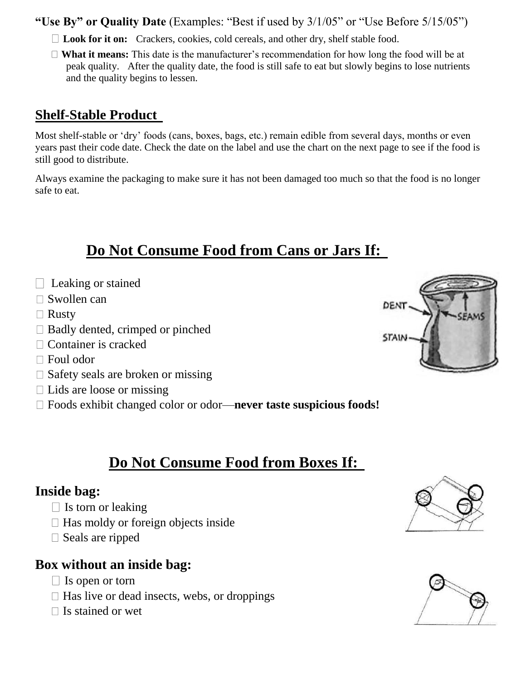**"Use By" or Quality Date** (Examples: "Best if used by 3/1/05" or "Use Before 5/15/05")

- □ **Look for it on:** Crackers, cookies, cold cereals, and other dry, shelf stable food.
- **What it means:** This date is the manufacturer's recommendation for how long the food will be at peak quality. After the quality date, the food is still safe to eat but slowly begins to lose nutrients and the quality begins to lessen.

#### **Shelf-Stable Product**

Most shelf-stable or 'dry' foods (cans, boxes, bags, etc.) remain edible from several days, months or even years past their code date. Check the date on the label and use the chart on the next page to see if the food is still good to distribute.

Always examine the packaging to make sure it has not been damaged too much so that the food is no longer safe to eat.

## **Do Not Consume Food from Cans or Jars If:**

- $\Box$  Leaking or stained
- $\square$  Swollen can
- $\Box$  Rusty
- $\Box$  Badly dented, crimped or pinched
- □ Container is cracked
- □ Foul odor
- $\Box$  Safety seals are broken or missing
- $\Box$  Lids are loose or missing
- Foods exhibit changed color or odor—**never taste suspicious foods!**

## **Do Not Consume Food from Boxes If:**

#### **Inside bag:**

- $\Box$  Is torn or leaking
- $\Box$  Has moldy or foreign objects inside
- $\square$  Seals are ripped

#### **Box without an inside bag:**

- $\Box$  Is open or torn
- $\Box$  Has live or dead insects, webs, or droppings
- $\Box$  Is stained or wet





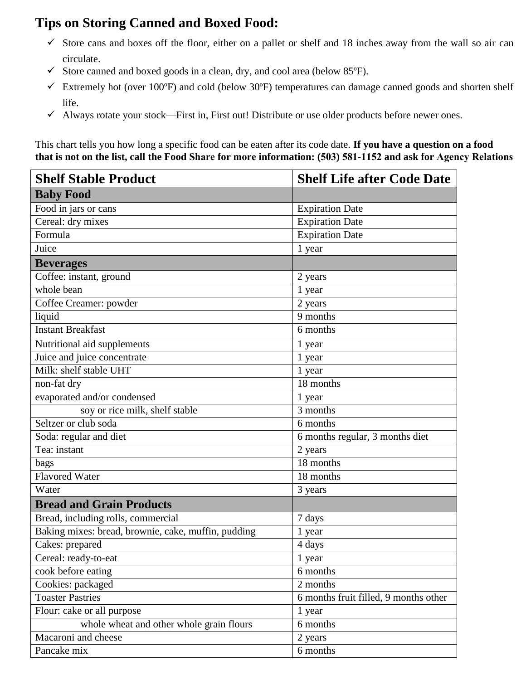### **Tips on Storing Canned and Boxed Food:**

- $\checkmark$  Store cans and boxes off the floor, either on a pallet or shelf and 18 inches away from the wall so air can circulate.
- $\checkmark$  Store canned and boxed goods in a clean, dry, and cool area (below 85 $\check{P}$ ).
- $\checkmark$  Extremely hot (over 100°F) and cold (below 30°F) temperatures can damage canned goods and shorten shelf life.
- $\checkmark$  Always rotate your stock—First in, First out! Distribute or use older products before newer ones.

This chart tells you how long a specific food can be eaten after its code date. **If you have a question on a food that is not on the list, call the Food Share for more information: (503) 581-1152 and ask for Agency Relations**

| <b>Shelf Stable Product</b>                         | <b>Shelf Life after Code Date</b>     |  |
|-----------------------------------------------------|---------------------------------------|--|
| <b>Baby Food</b>                                    |                                       |  |
| Food in jars or cans                                | <b>Expiration Date</b>                |  |
| Cereal: dry mixes                                   | <b>Expiration Date</b>                |  |
| Formula                                             | <b>Expiration Date</b>                |  |
| Juice                                               | 1 year                                |  |
| <b>Beverages</b>                                    |                                       |  |
| Coffee: instant, ground                             | 2 years                               |  |
| whole bean                                          | 1 year                                |  |
| Coffee Creamer: powder                              | 2 years                               |  |
| liquid                                              | 9 months                              |  |
| <b>Instant Breakfast</b>                            | 6 months                              |  |
| Nutritional aid supplements                         | 1 year                                |  |
| Juice and juice concentrate                         | 1 year                                |  |
| Milk: shelf stable UHT                              | 1 year                                |  |
| non-fat dry                                         | 18 months                             |  |
| evaporated and/or condensed                         | 1 year                                |  |
| soy or rice milk, shelf stable                      | 3 months                              |  |
| Seltzer or club soda                                | 6 months                              |  |
| Soda: regular and diet                              | 6 months regular, 3 months diet       |  |
| Tea: instant                                        | 2 years                               |  |
| bags                                                | 18 months                             |  |
| <b>Flavored Water</b>                               | 18 months                             |  |
| Water                                               | 3 years                               |  |
| <b>Bread and Grain Products</b>                     |                                       |  |
| Bread, including rolls, commercial                  | 7 days                                |  |
| Baking mixes: bread, brownie, cake, muffin, pudding | 1 year                                |  |
| Cakes: prepared                                     | 4 days                                |  |
| Cereal: ready-to-eat                                | 1 year                                |  |
| cook before eating                                  | 6 months                              |  |
| Cookies: packaged                                   | 2 months                              |  |
| <b>Toaster Pastries</b>                             | 6 months fruit filled, 9 months other |  |
| Flour: cake or all purpose                          | 1 year                                |  |
| whole wheat and other whole grain flours            | 6 months                              |  |
| Macaroni and cheese                                 | 2 years                               |  |
| Pancake mix                                         | 6 months                              |  |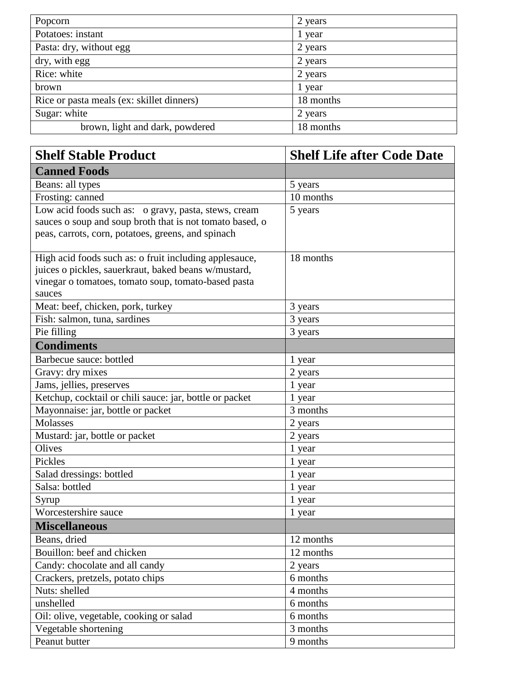| Popcorn                                   | 2 years   |
|-------------------------------------------|-----------|
| Potatoes: instant                         | 1 year    |
| Pasta: dry, without egg                   | 2 years   |
| dry, with egg                             | 2 years   |
| Rice: white                               | 2 years   |
| brown                                     | 1 year    |
| Rice or pasta meals (ex: skillet dinners) | 18 months |
| Sugar: white                              | 2 years   |
| brown, light and dark, powdered           | 18 months |

| <b>Shelf Stable Product</b>                              | <b>Shelf Life after Code Date</b> |
|----------------------------------------------------------|-----------------------------------|
| <b>Canned Foods</b>                                      |                                   |
| Beans: all types                                         | 5 years                           |
| Frosting: canned                                         | 10 months                         |
| Low acid foods such as: o gravy, pasta, stews, cream     | 5 years                           |
| sauces o soup and soup broth that is not tomato based, o |                                   |
| peas, carrots, corn, potatoes, greens, and spinach       |                                   |
| High acid foods such as: o fruit including applesauce,   | 18 months                         |
| juices o pickles, sauerkraut, baked beans w/mustard,     |                                   |
| vinegar o tomatoes, tomato soup, tomato-based pasta      |                                   |
| sauces                                                   |                                   |
| Meat: beef, chicken, pork, turkey                        | 3 years                           |
| Fish: salmon, tuna, sardines                             | 3 years                           |
| Pie filling                                              | 3 years                           |
| <b>Condiments</b>                                        |                                   |
| Barbecue sauce: bottled                                  | 1 year                            |
| Gravy: dry mixes                                         | 2 years                           |
| Jams, jellies, preserves                                 | 1 year                            |
| Ketchup, cocktail or chili sauce: jar, bottle or packet  | 1 year                            |
| Mayonnaise: jar, bottle or packet                        | 3 months                          |
| Molasses                                                 | 2 years                           |
| Mustard: jar, bottle or packet                           | 2 years                           |
| Olives                                                   | 1 year                            |
| Pickles                                                  | 1 year                            |
| Salad dressings: bottled                                 | 1 year                            |
| Salsa: bottled                                           | 1 year                            |
| Syrup                                                    | 1 year                            |
| Worcestershire sauce                                     | 1 year                            |
| <b>Miscellaneous</b>                                     |                                   |
| Beans, dried                                             | 12 months                         |
| Bouillon: beef and chicken                               | 12 months                         |
| Candy: chocolate and all candy                           | 2 years                           |
| Crackers, pretzels, potato chips                         | 6 months                          |
| Nuts: shelled                                            | 4 months                          |
| unshelled                                                | 6 months                          |
| Oil: olive, vegetable, cooking or salad                  | 6 months                          |
| Vegetable shortening                                     | 3 months                          |
| Peanut butter                                            | 9 months                          |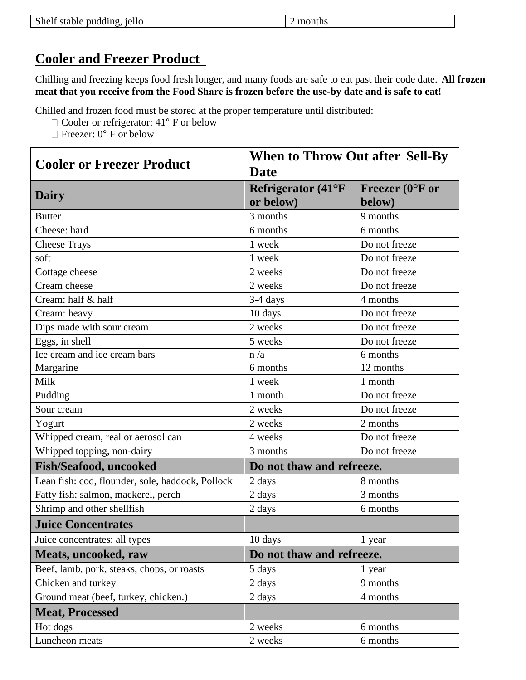| Shelf stable pudding, jello | 2 months |
|-----------------------------|----------|
|                             |          |

#### **Cooler and Freezer Product**

Chilling and freezing keeps food fresh longer, and many foods are safe to eat past their code date. **All frozen meat that you receive from the Food Share is frozen before the use-by date and is safe to eat!** 

Chilled and frozen food must be stored at the proper temperature until distributed:

- □ Cooler or refrigerator: 41° F or below
- $\Box$  Freezer: 0° F or below

|                                                  | <b>When to Throw Out after Sell-By</b><br><b>Date</b> |                            |
|--------------------------------------------------|-------------------------------------------------------|----------------------------|
| <b>Cooler or Freezer Product</b>                 |                                                       |                            |
|                                                  | <b>Refrigerator (41°F)</b>                            | Freezer ( $0^{\circ}$ F or |
| Dairy                                            | or below)                                             | below)                     |
| <b>Butter</b>                                    | 3 months                                              | 9 months                   |
| Cheese: hard                                     | 6 months                                              | 6 months                   |
| <b>Cheese Trays</b>                              | 1 week                                                | Do not freeze              |
| soft                                             | 1 week                                                | Do not freeze              |
| Cottage cheese                                   | 2 weeks                                               | Do not freeze              |
| Cream cheese                                     | 2 weeks                                               | Do not freeze              |
| Cream: half & half                               | 3-4 days                                              | 4 months                   |
| Cream: heavy                                     | 10 days                                               | Do not freeze              |
| Dips made with sour cream                        | 2 weeks                                               | Do not freeze              |
| Eggs, in shell                                   | 5 weeks                                               | Do not freeze              |
| Ice cream and ice cream bars                     | n/a                                                   | 6 months                   |
| Margarine                                        | 6 months                                              | 12 months                  |
| Milk                                             | 1 week                                                | 1 month                    |
| Pudding                                          | 1 month                                               | Do not freeze              |
| Sour cream                                       | 2 weeks                                               | Do not freeze              |
| Yogurt                                           | 2 weeks                                               | 2 months                   |
| Whipped cream, real or aerosol can               | 4 weeks                                               | Do not freeze              |
| Whipped topping, non-dairy                       | 3 months                                              | Do not freeze              |
| <b>Fish/Seafood, uncooked</b>                    | Do not thaw and refreeze.                             |                            |
| Lean fish: cod, flounder, sole, haddock, Pollock | 2 days                                                | 8 months                   |
| Fatty fish: salmon, mackerel, perch              | 2 days                                                | 3 months                   |
| Shrimp and other shellfish                       | 2 days                                                | 6 months                   |
| <b>Juice Concentrates</b>                        |                                                       |                            |
| Juice concentrates: all types                    | 10 days                                               | 1 year                     |
| Meats, uncooked, raw                             | Do not thaw and refreeze.                             |                            |
| Beef, lamb, pork, steaks, chops, or roasts       | 5 days                                                | 1 year                     |
| Chicken and turkey                               | 2 days                                                | 9 months                   |
| Ground meat (beef, turkey, chicken.)             | 2 days                                                | 4 months                   |
| <b>Meat, Processed</b>                           |                                                       |                            |
| Hot dogs                                         | 2 weeks                                               | 6 months                   |
| Luncheon meats                                   | 2 weeks                                               | 6 months                   |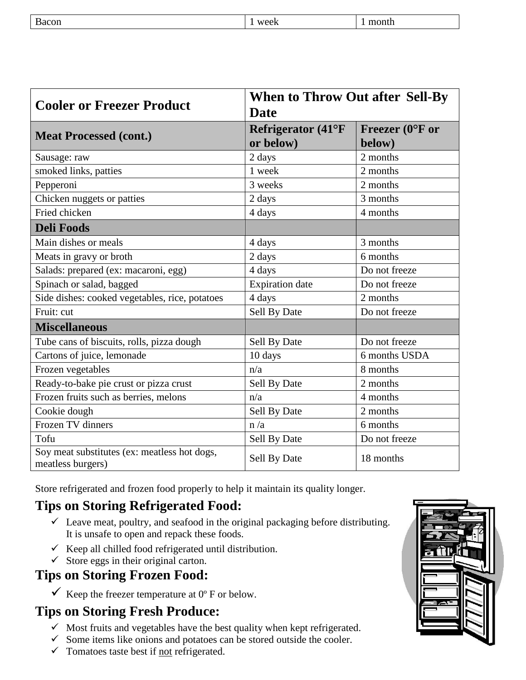| Bacon | week | month |
|-------|------|-------|
|       |      |       |

|                                                                   | <b>When to Throw Out after Sell-By</b> |                            |  |
|-------------------------------------------------------------------|----------------------------------------|----------------------------|--|
| <b>Cooler or Freezer Product</b>                                  | <b>Date</b>                            |                            |  |
| <b>Meat Processed (cont.)</b>                                     | Refrigerator (41°F                     | Freezer ( $0^{\circ}$ F or |  |
|                                                                   | or below)                              | below)                     |  |
| Sausage: raw                                                      | 2 days                                 | 2 months                   |  |
| smoked links, patties                                             | 1 week                                 | 2 months                   |  |
| Pepperoni                                                         | 3 weeks                                | 2 months                   |  |
| Chicken nuggets or patties                                        | 2 days                                 | 3 months                   |  |
| Fried chicken                                                     | 4 days                                 | 4 months                   |  |
| <b>Deli Foods</b>                                                 |                                        |                            |  |
| Main dishes or meals                                              | 4 days                                 | 3 months                   |  |
| Meats in gravy or broth                                           | 2 days                                 | 6 months                   |  |
| Salads: prepared (ex: macaroni, egg)                              | 4 days                                 | Do not freeze              |  |
| Spinach or salad, bagged                                          | <b>Expiration</b> date                 | Do not freeze              |  |
| Side dishes: cooked vegetables, rice, potatoes                    | 4 days                                 | 2 months                   |  |
| Fruit: cut                                                        | Sell By Date                           | Do not freeze              |  |
| <b>Miscellaneous</b>                                              |                                        |                            |  |
| Tube cans of biscuits, rolls, pizza dough                         | Sell By Date                           | Do not freeze              |  |
| Cartons of juice, lemonade                                        | 10 days                                | 6 months USDA              |  |
| Frozen vegetables                                                 | n/a                                    | 8 months                   |  |
| Ready-to-bake pie crust or pizza crust                            | Sell By Date                           | 2 months                   |  |
| Frozen fruits such as berries, melons                             | n/a                                    | 4 months                   |  |
| Cookie dough                                                      | Sell By Date                           | 2 months                   |  |
| Frozen TV dinners                                                 | n/a                                    | 6 months                   |  |
| Tofu                                                              | Sell By Date                           | Do not freeze              |  |
| Soy meat substitutes (ex: meatless hot dogs,<br>meatless burgers) | Sell By Date                           | 18 months                  |  |

Store refrigerated and frozen food properly to help it maintain its quality longer.

## **Tips on Storing Refrigerated Food:**

- $\checkmark$  Leave meat, poultry, and seafood in the original packaging before distributing. It is unsafe to open and repack these foods.
- $\checkmark$  Keep all chilled food refrigerated until distribution.
- $\checkmark$  Store eggs in their original carton.

### **Tips on Storing Frozen Food:**

 $\checkmark$  Keep the freezer temperature at 0° F or below.

### **Tips on Storing Fresh Produce:**

- $\checkmark$  Most fruits and vegetables have the best quality when kept refrigerated.
- $\checkmark$  Some items like onions and potatoes can be stored outside the cooler.
- $\checkmark$  Tomatoes taste best if <u>not</u> refrigerated.